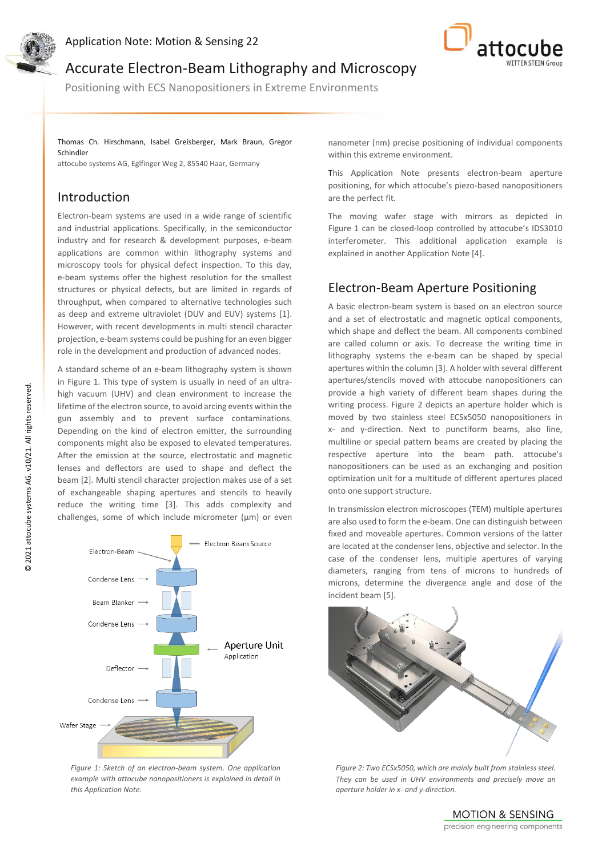



Accurate Electron-Beam Lithography and Microscopy

Positioning with ECS Nanopositioners in Extreme Environments

Thomas Ch. Hirschmann, Isabel Greisberger, Mark Braun, Gregor Schindler

attocube systems AG, Eglfinger Weg 2, 85540 Haar, Germany

# Introduction

Electron-beam systems are used in a wide range of scientific and industrial applications. Specifically, in the semiconductor industry and for research & development purposes, e-beam applications are common within lithography systems and microscopy tools for physical defect inspection. To this day, e-beam systems offer the highest resolution for the smallest structures or physical defects, but are limited in regards of throughput, when compared to alternative technologies such as deep and extreme ultraviolet (DUV and EUV) systems [1]. However, with recent developments in multi stencil character projection, e-beam systems could be pushing for an even bigger role in the development and production of advanced nodes.

A standard scheme of an e-beam lithography system is shown in Figure 1. This type of system is usually in need of an ultrahigh vacuum (UHV) and clean environment to increase the lifetime of the electron source, to avoid arcing events within the gun assembly and to prevent surface contaminations. Depending on the kind of electron emitter, the surrounding components might also be exposed to elevated temperatures. After the emission at the source, electrostatic and magnetic lenses and deflectors are used to shape and deflect the beam [2]. Multi stencil character projection makes use of a set of exchangeable shaping apertures and stencils to heavily reduce the writing time [3]. This adds complexity and challenges, some of which include micrometer ( $\mu$ m) or even



*Figure 1: Sketch of an electron-beam system. One application example with attocube nanopositioners is explained in detail in this Application Note.*

nanometer (nm) precise positioning of individual components within this extreme environment.

This Application Note presents electron-beam aperture positioning, for which attocube's piezo-based nanopositioners are the perfect fit.

The moving wafer stage with mirrors as depicted in Figure 1 can be closed-loop controlled by attocube's IDS3010 interferometer. This additional application example is explained in another Application Note [4].

# Electron-Beam Aperture Positioning

A basic electron-beam system is based on an electron source and a set of electrostatic and magnetic optical components, which shape and deflect the beam. All components combined are called column or axis. To decrease the writing time in lithography systems the e-beam can be shaped by special apertures within the column [3]. A holder with several different apertures/stencils moved with attocube nanopositioners can provide a high variety of different beam shapes during the writing process. Figure 2 depicts an aperture holder which is moved by two stainless steel ECSx5050 nanopositioners in x- and y-direction. Next to punctiform beams, also line, multiline or special pattern beams are created by placing the respective aperture into the beam path. attocube's nanopositioners can be used as an exchanging and position optimization unit for a multitude of different apertures placed onto one support structure.

In transmission electron microscopes (TEM) multiple apertures are also used to form the e-beam. One can distinguish between fixed and moveable apertures. Common versions of the latter are located at the condenser lens, objective and selector. In the case of the condenser lens, multiple apertures of varying diameters, ranging from tens of microns to hundreds of microns, determine the divergence angle and dose of the incident beam [5].



*Figure 2: Two ECSx5050, which are mainly built from stainless steel. They can be used in UHV environments and precisely move an aperture holder in x- and y-direction.*

**MOTION & SENSING** precision engineering components